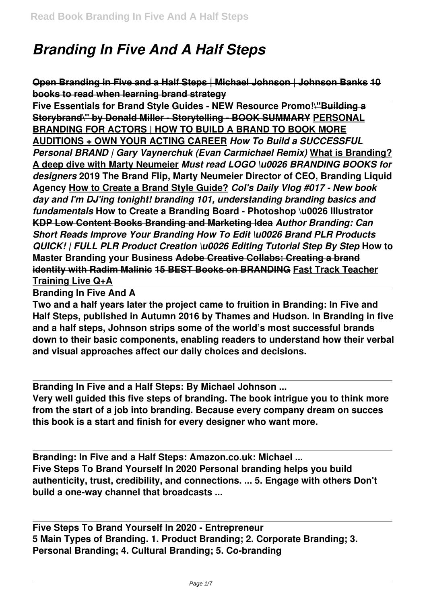## *Branding In Five And A Half Steps*

**Open Branding in Five and a Half Steps | Michael Johnson | Johnson Banks 10 books to read when learning brand strategy**

**Five Essentials for Brand Style Guides - NEW Resource Promo!\"Building a Storybrand\" by Donald Miller - Storytelling - BOOK SUMMARY PERSONAL BRANDING FOR ACTORS | HOW TO BUILD A BRAND TO BOOK MORE AUDITIONS + OWN YOUR ACTING CAREER** *How To Build a SUCCESSFUL Personal BRAND | Gary Vaynerchuk (Evan Carmichael Remix)* **What is Branding? A deep dive with Marty Neumeier** *Must read LOGO \u0026 BRANDING BOOKS for designers* **2019 The Brand Flip, Marty Neumeier Director of CEO, Branding Liquid Agency How to Create a Brand Style Guide?** *Col's Daily Vlog #017 - New book day and I'm DJ'ing tonight! branding 101, understanding branding basics and fundamentals* **How to Create a Branding Board - Photoshop \u0026 Illustrator KDP Low Content Books Branding and Marketing Idea** *Author Branding: Can Short Reads Improve Your Branding How To Edit \u0026 Brand PLR Products QUICK! | FULL PLR Product Creation \u0026 Editing Tutorial Step By Step* **How to Master Branding your Business Adobe Creative Collabs: Creating a brand identity with Radim Malinic 15 BEST Books on BRANDING Fast Track Teacher Training Live Q+A**

**Branding In Five And A**

**Two and a half years later the project came to fruition in Branding: In Five and Half Steps, published in Autumn 2016 by Thames and Hudson. In Branding in five and a half steps, Johnson strips some of the world's most successful brands down to their basic components, enabling readers to understand how their verbal and visual approaches affect our daily choices and decisions.**

**Branding In Five and a Half Steps: By Michael Johnson ...**

**Very well guided this five steps of branding. The book intrigue you to think more from the start of a job into branding. Because every company dream on succes this book is a start and finish for every designer who want more.**

**Branding: In Five and a Half Steps: Amazon.co.uk: Michael ... Five Steps To Brand Yourself In 2020 Personal branding helps you build authenticity, trust, credibility, and connections. ... 5. Engage with others Don't build a one-way channel that broadcasts ...**

**Five Steps To Brand Yourself In 2020 - Entrepreneur 5 Main Types of Branding. 1. Product Branding; 2. Corporate Branding; 3. Personal Branding; 4. Cultural Branding; 5. Co-branding**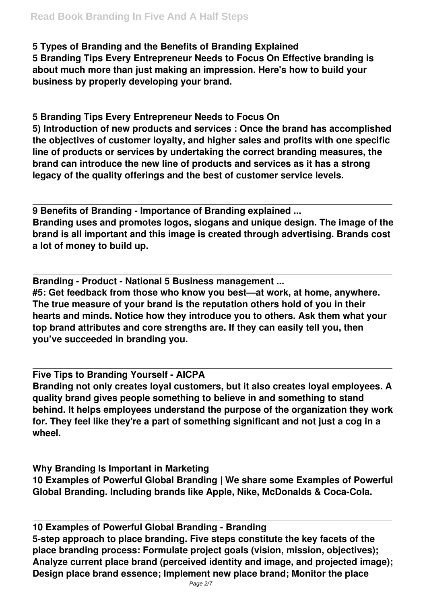## **5 Types of Branding and the Benefits of Branding Explained**

**5 Branding Tips Every Entrepreneur Needs to Focus On Effective branding is about much more than just making an impression. Here's how to build your business by properly developing your brand.**

**5 Branding Tips Every Entrepreneur Needs to Focus On 5) Introduction of new products and services : Once the brand has accomplished the objectives of customer loyalty, and higher sales and profits with one specific line of products or services by undertaking the correct branding measures, the brand can introduce the new line of products and services as it has a strong legacy of the quality offerings and the best of customer service levels.**

**9 Benefits of Branding - Importance of Branding explained ... Branding uses and promotes logos, slogans and unique design. The image of the brand is all important and this image is created through advertising. Brands cost a lot of money to build up.**

**Branding - Product - National 5 Business management ... #5: Get feedback from those who know you best—at work, at home, anywhere. The true measure of your brand is the reputation others hold of you in their hearts and minds. Notice how they introduce you to others. Ask them what your top brand attributes and core strengths are. If they can easily tell you, then you've succeeded in branding you.**

**Five Tips to Branding Yourself - AICPA Branding not only creates loyal customers, but it also creates loyal employees. A quality brand gives people something to believe in and something to stand behind. It helps employees understand the purpose of the organization they work for. They feel like they're a part of something significant and not just a cog in a wheel.**

**Why Branding Is Important in Marketing 10 Examples of Powerful Global Branding | We share some Examples of Powerful Global Branding. Including brands like Apple, Nike, McDonalds & Coca-Cola.**

**10 Examples of Powerful Global Branding - Branding 5-step approach to place branding. Five steps constitute the key facets of the place branding process: Formulate project goals (vision, mission, objectives); Analyze current place brand (perceived identity and image, and projected image); Design place brand essence; Implement new place brand; Monitor the place**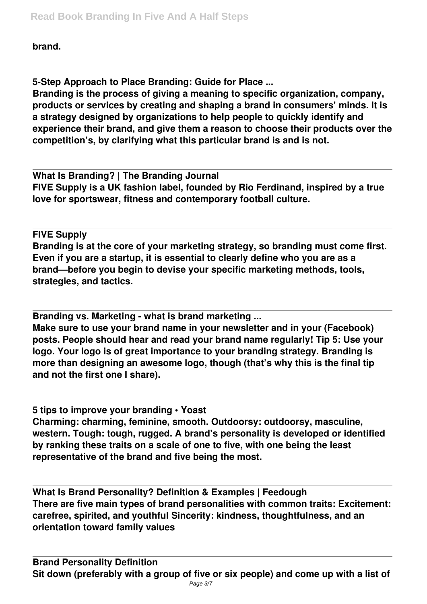**brand.**

**5-Step Approach to Place Branding: Guide for Place ...**

**Branding is the process of giving a meaning to specific organization, company, products or services by creating and shaping a brand in consumers' minds. It is a strategy designed by organizations to help people to quickly identify and experience their brand, and give them a reason to choose their products over the competition's, by clarifying what this particular brand is and is not.**

**What Is Branding? | The Branding Journal FIVE Supply is a UK fashion label, founded by Rio Ferdinand, inspired by a true love for sportswear, fitness and contemporary football culture.**

**FIVE Supply Branding is at the core of your marketing strategy, so branding must come first. Even if you are a startup, it is essential to clearly define who you are as a brand—before you begin to devise your specific marketing methods, tools, strategies, and tactics.**

**Branding vs. Marketing - what is brand marketing ...**

**Make sure to use your brand name in your newsletter and in your (Facebook) posts. People should hear and read your brand name regularly! Tip 5: Use your logo. Your logo is of great importance to your branding strategy. Branding is more than designing an awesome logo, though (that's why this is the final tip and not the first one I share).**

**5 tips to improve your branding • Yoast Charming: charming, feminine, smooth. Outdoorsy: outdoorsy, masculine, western. Tough: tough, rugged. A brand's personality is developed or identified by ranking these traits on a scale of one to five, with one being the least representative of the brand and five being the most.**

**What Is Brand Personality? Definition & Examples | Feedough There are five main types of brand personalities with common traits: Excitement: carefree, spirited, and youthful Sincerity: kindness, thoughtfulness, and an orientation toward family values**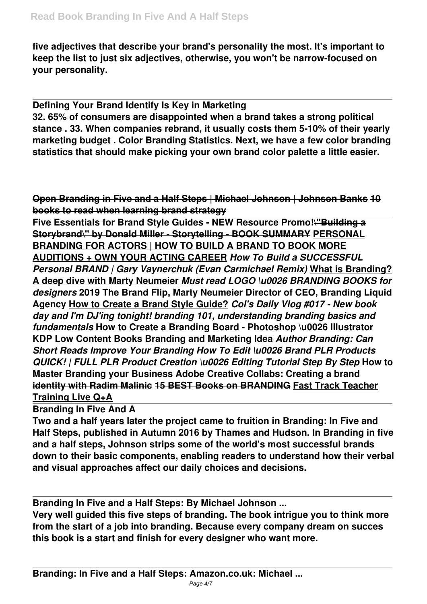**five adjectives that describe your brand's personality the most. It's important to keep the list to just six adjectives, otherwise, you won't be narrow-focused on your personality.**

**Defining Your Brand Identify Is Key in Marketing 32. 65% of consumers are disappointed when a brand takes a strong political stance . 33. When companies rebrand, it usually costs them 5-10% of their yearly marketing budget . Color Branding Statistics. Next, we have a few color branding statistics that should make picking your own brand color palette a little easier.**

**Open Branding in Five and a Half Steps | Michael Johnson | Johnson Banks 10 books to read when learning brand strategy**

**Five Essentials for Brand Style Guides - NEW Resource Promo!\"Building a Storybrand\" by Donald Miller - Storytelling - BOOK SUMMARY PERSONAL BRANDING FOR ACTORS | HOW TO BUILD A BRAND TO BOOK MORE AUDITIONS + OWN YOUR ACTING CAREER** *How To Build a SUCCESSFUL Personal BRAND | Gary Vaynerchuk (Evan Carmichael Remix)* **What is Branding? A deep dive with Marty Neumeier** *Must read LOGO \u0026 BRANDING BOOKS for designers* **2019 The Brand Flip, Marty Neumeier Director of CEO, Branding Liquid Agency How to Create a Brand Style Guide?** *Col's Daily Vlog #017 - New book day and I'm DJ'ing tonight! branding 101, understanding branding basics and fundamentals* **How to Create a Branding Board - Photoshop \u0026 Illustrator KDP Low Content Books Branding and Marketing Idea** *Author Branding: Can Short Reads Improve Your Branding How To Edit \u0026 Brand PLR Products QUICK! | FULL PLR Product Creation \u0026 Editing Tutorial Step By Step* **How to Master Branding your Business Adobe Creative Collabs: Creating a brand identity with Radim Malinic 15 BEST Books on BRANDING Fast Track Teacher Training Live Q+A**

**Branding In Five And A**

**Two and a half years later the project came to fruition in Branding: In Five and Half Steps, published in Autumn 2016 by Thames and Hudson. In Branding in five and a half steps, Johnson strips some of the world's most successful brands down to their basic components, enabling readers to understand how their verbal and visual approaches affect our daily choices and decisions.**

**Branding In Five and a Half Steps: By Michael Johnson ...**

**Very well guided this five steps of branding. The book intrigue you to think more from the start of a job into branding. Because every company dream on succes this book is a start and finish for every designer who want more.**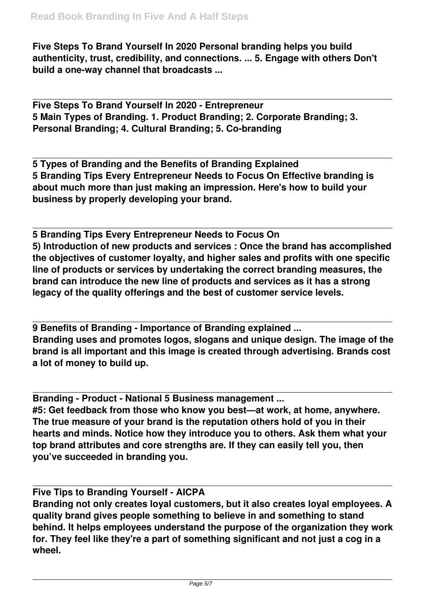**Five Steps To Brand Yourself In 2020 Personal branding helps you build authenticity, trust, credibility, and connections. ... 5. Engage with others Don't build a one-way channel that broadcasts ...**

**Five Steps To Brand Yourself In 2020 - Entrepreneur 5 Main Types of Branding. 1. Product Branding; 2. Corporate Branding; 3. Personal Branding; 4. Cultural Branding; 5. Co-branding**

**5 Types of Branding and the Benefits of Branding Explained 5 Branding Tips Every Entrepreneur Needs to Focus On Effective branding is about much more than just making an impression. Here's how to build your business by properly developing your brand.**

**5 Branding Tips Every Entrepreneur Needs to Focus On 5) Introduction of new products and services : Once the brand has accomplished the objectives of customer loyalty, and higher sales and profits with one specific line of products or services by undertaking the correct branding measures, the brand can introduce the new line of products and services as it has a strong legacy of the quality offerings and the best of customer service levels.**

**9 Benefits of Branding - Importance of Branding explained ... Branding uses and promotes logos, slogans and unique design. The image of the brand is all important and this image is created through advertising. Brands cost a lot of money to build up.**

**Branding - Product - National 5 Business management ...**

**#5: Get feedback from those who know you best—at work, at home, anywhere. The true measure of your brand is the reputation others hold of you in their hearts and minds. Notice how they introduce you to others. Ask them what your top brand attributes and core strengths are. If they can easily tell you, then you've succeeded in branding you.**

**Five Tips to Branding Yourself - AICPA**

**Branding not only creates loyal customers, but it also creates loyal employees. A quality brand gives people something to believe in and something to stand behind. It helps employees understand the purpose of the organization they work for. They feel like they're a part of something significant and not just a cog in a wheel.**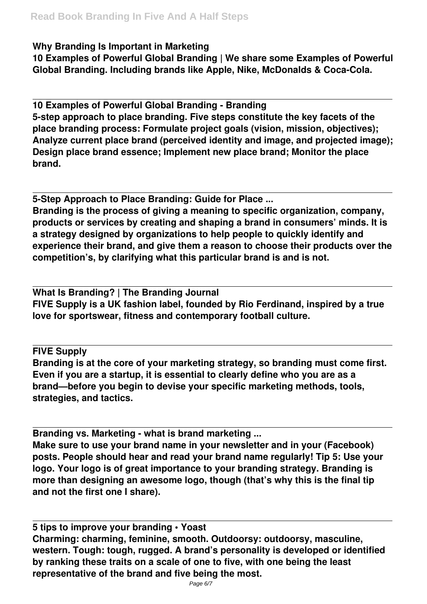## **Why Branding Is Important in Marketing**

**10 Examples of Powerful Global Branding | We share some Examples of Powerful Global Branding. Including brands like Apple, Nike, McDonalds & Coca-Cola.**

**10 Examples of Powerful Global Branding - Branding 5-step approach to place branding. Five steps constitute the key facets of the place branding process: Formulate project goals (vision, mission, objectives); Analyze current place brand (perceived identity and image, and projected image); Design place brand essence; Implement new place brand; Monitor the place brand.**

**5-Step Approach to Place Branding: Guide for Place ...**

**Branding is the process of giving a meaning to specific organization, company, products or services by creating and shaping a brand in consumers' minds. It is a strategy designed by organizations to help people to quickly identify and experience their brand, and give them a reason to choose their products over the competition's, by clarifying what this particular brand is and is not.**

**What Is Branding? | The Branding Journal FIVE Supply is a UK fashion label, founded by Rio Ferdinand, inspired by a true love for sportswear, fitness and contemporary football culture.**

**FIVE Supply**

**Branding is at the core of your marketing strategy, so branding must come first. Even if you are a startup, it is essential to clearly define who you are as a brand—before you begin to devise your specific marketing methods, tools, strategies, and tactics.**

**Branding vs. Marketing - what is brand marketing ...**

**Make sure to use your brand name in your newsletter and in your (Facebook) posts. People should hear and read your brand name regularly! Tip 5: Use your logo. Your logo is of great importance to your branding strategy. Branding is more than designing an awesome logo, though (that's why this is the final tip and not the first one I share).**

**5 tips to improve your branding • Yoast Charming: charming, feminine, smooth. Outdoorsy: outdoorsy, masculine, western. Tough: tough, rugged. A brand's personality is developed or identified by ranking these traits on a scale of one to five, with one being the least representative of the brand and five being the most.**